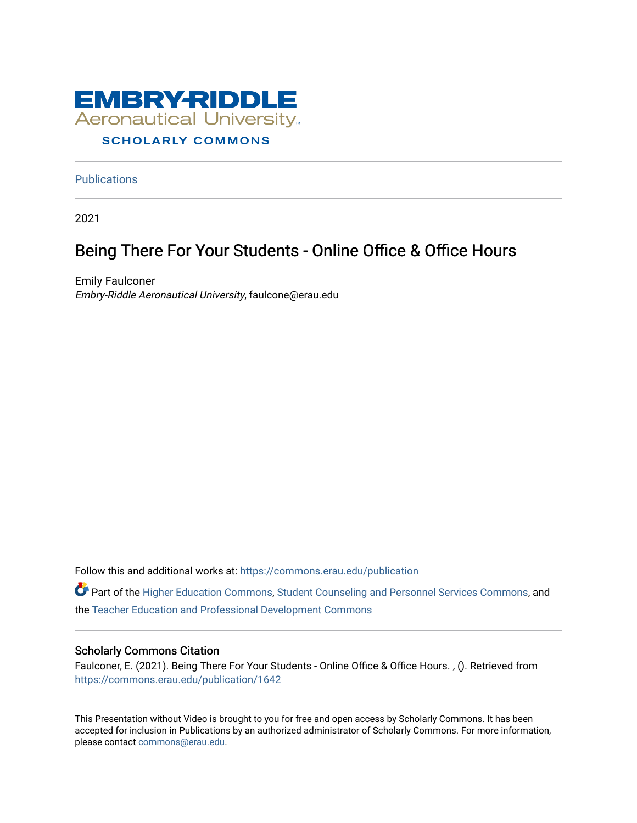

#### **Publications**

2021

#### Being There For Your Students - Online Office & Office Hours

Emily Faulconer Embry-Riddle Aeronautical University, faulcone@erau.edu

Follow this and additional works at: [https://commons.erau.edu/publication](https://commons.erau.edu/publication?utm_source=commons.erau.edu%2Fpublication%2F1642&utm_medium=PDF&utm_campaign=PDFCoverPages) 

Part of the [Higher Education Commons,](http://network.bepress.com/hgg/discipline/1245?utm_source=commons.erau.edu%2Fpublication%2F1642&utm_medium=PDF&utm_campaign=PDFCoverPages) [Student Counseling and Personnel Services Commons,](http://network.bepress.com/hgg/discipline/802?utm_source=commons.erau.edu%2Fpublication%2F1642&utm_medium=PDF&utm_campaign=PDFCoverPages) and the [Teacher Education and Professional Development Commons](http://network.bepress.com/hgg/discipline/803?utm_source=commons.erau.edu%2Fpublication%2F1642&utm_medium=PDF&utm_campaign=PDFCoverPages) 

#### Scholarly Commons Citation

Faulconer, E. (2021). Being There For Your Students - Online Office & Office Hours. , (). Retrieved from [https://commons.erau.edu/publication/1642](https://commons.erau.edu/publication/1642?utm_source=commons.erau.edu%2Fpublication%2F1642&utm_medium=PDF&utm_campaign=PDFCoverPages)

This Presentation without Video is brought to you for free and open access by Scholarly Commons. It has been accepted for inclusion in Publications by an authorized administrator of Scholarly Commons. For more information, please contact [commons@erau.edu](mailto:commons@erau.edu).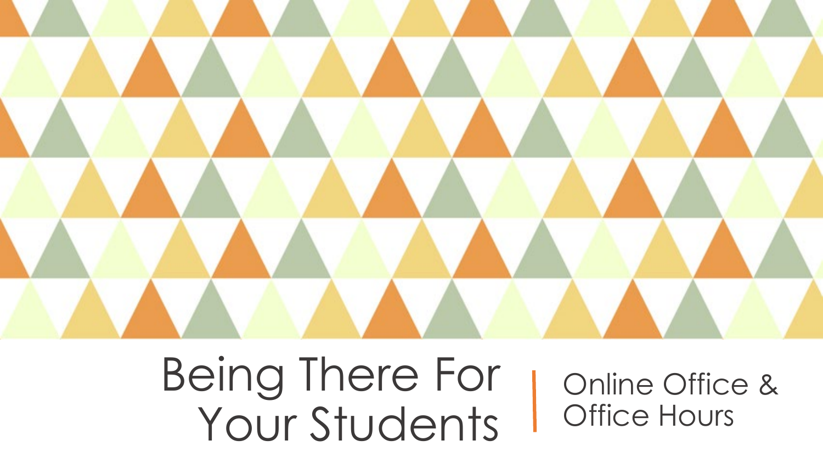

Being There For Your Students

Online Office & Office Hours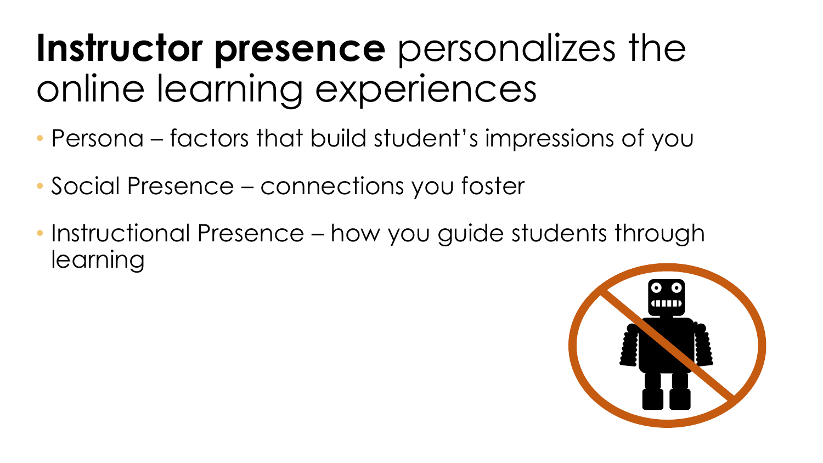### **Instructor presence** personalizes the online learning experiences

- Persona factors that build student's impressions of you
- Social Presence connections you foster
- Instructional Presence how you guide students through learning

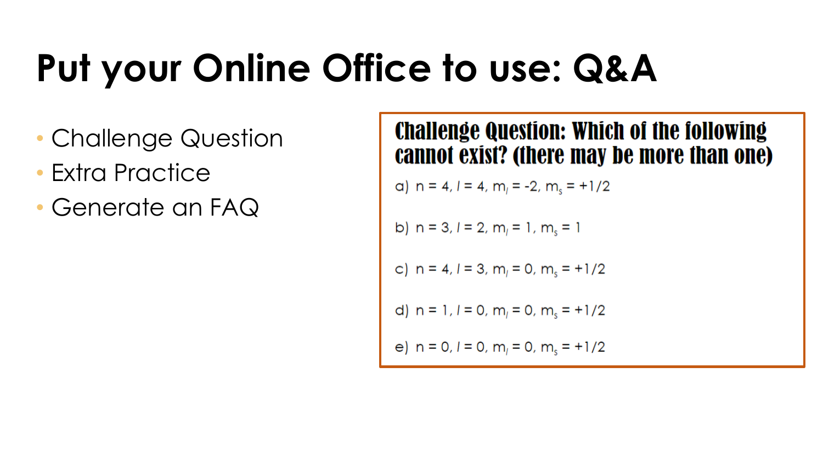### **Put your Online Office to use: Q&A**

- Challenge Question
- Extra Practice
- Generate an FAQ

**Challenge Question: Which of the following** cannot exist? (there may be more than one)

a) 
$$
n = 4, l = 4, ml = -2, ms = +1/2
$$

b) 
$$
n = 3, l = 2, ml = 1, ms = 1
$$

c) 
$$
n = 4, l = 3, ml = 0, ms = +1/2
$$

d) 
$$
n = 1, l = 0, ml = 0, ms = +1/2
$$

e) 
$$
n = 0, l = 0, m_1 = 0, m_s = +1/2
$$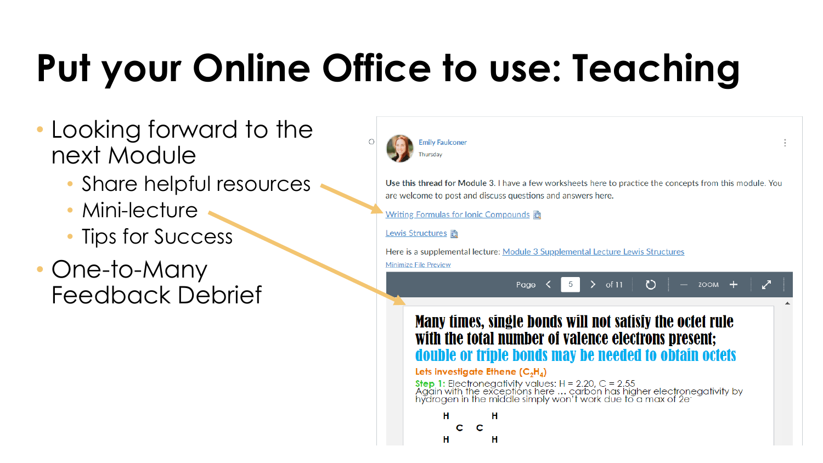## **Put your Online Office to use: Teaching**

- Looking forward to the next Module
	- Share helpful resources
	- Mini-lecture
	- Tips for Success
- One-to-Many Feedback Debrief



Use this thread for Module 3. I have a few worksheets here to practice the concepts from this module. You are welcome to post and discuss questions and answers here.

Writing Formulas for Ionic Compounds a

Lewis Structures **n** 

Here is a supplemental lecture: Module 3 Supplemental Lecture Lewis Structures **Minimize File Preview** 

> $of 11$ **ZOOM** Page

#### Many times, single bonds will not satisfy the octet rule with the total number of valence electrons present; double or triple bonds may be needed to obtain octets

#### Lets investigate Ethene  $(C_2H_4)$

**Step 1:** Electronegativity values:  $H = 2.20$ ,  $C = 2.55$ <br>Again with the exceptions here ... carbon has higher electronegativity by<br>hydrogen in the middle simply won't work due to a max of 2e<sup>-</sup>

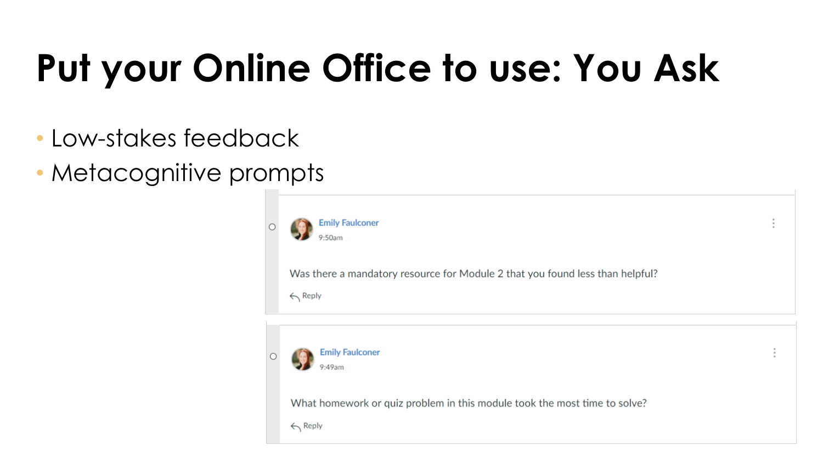## **Put your Online Office to use: You Ask**

- Low-stakes feedback
- Metacognitive prompts

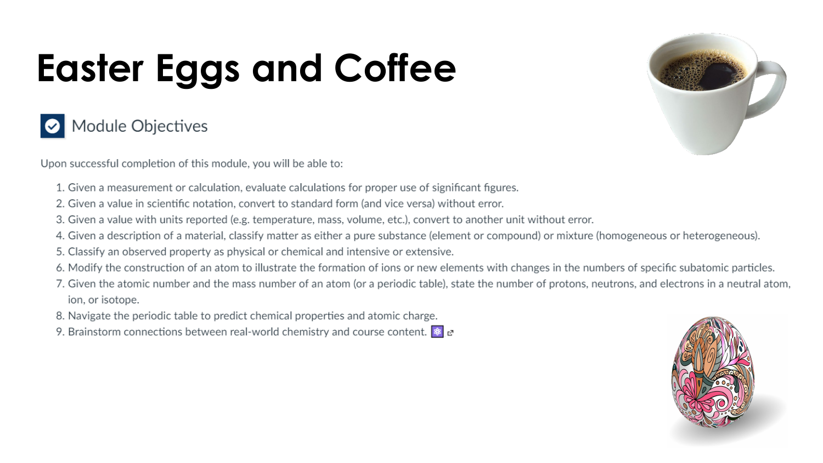# **Easter Eggs and Coffee**



Upon successful completion of this module, you will be able to:

- 1. Given a measurement or calculation, evaluate calculations for proper use of significant figures.
- 2. Given a value in scientific notation, convert to standard form (and vice versa) without error.
- 3. Given a value with units reported (e.g. temperature, mass, volume, etc.), convert to another unit without error.
- 4. Given a description of a material, classify matter as either a pure substance (element or compound) or mixture (homogeneous or heterogeneous).
- 5. Classify an observed property as physical or chemical and intensive or extensive.
- 6. Modify the construction of an atom to illustrate the formation of ions or new elements with changes in the numbers of specific subatomic particles.
- 7. Given the atomic number and the mass number of an atom (or a periodic table), state the number of protons, neutrons, and electrons in a neutral atom, ion, or isotope.
- 8. Navigate the periodic table to predict chemical properties and atomic charge.
- 9. Brainstorm connections between real-world chemistry and course content.  $\mathbf{R}$   $\alpha$



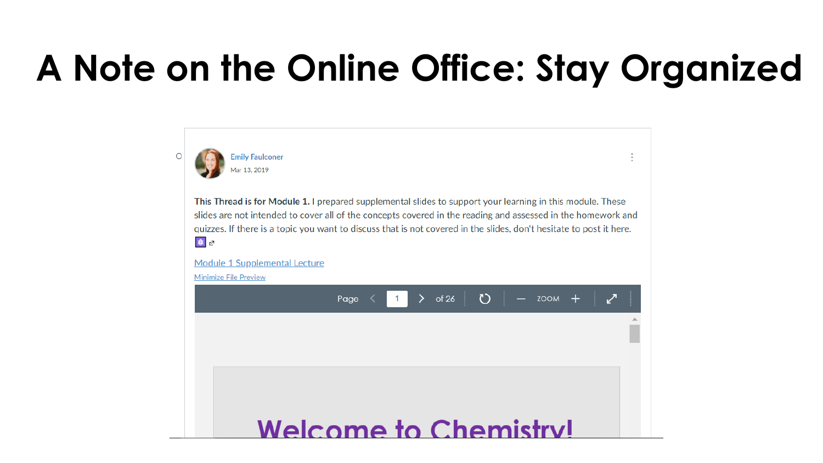### **A Note on the Online Office: Stay Organized**



This Thread is for Module 1. I prepared supplemental slides to support your learning in this module. These slides are not intended to cover all of the concepts covered in the reading and assessed in the homework and guizzes. If there is a topic you want to discuss that is not covered in the slides, don't hesitate to post it here. 8 2

#### Module 1 Supplemental Lecture

**Minimize File Preview** 

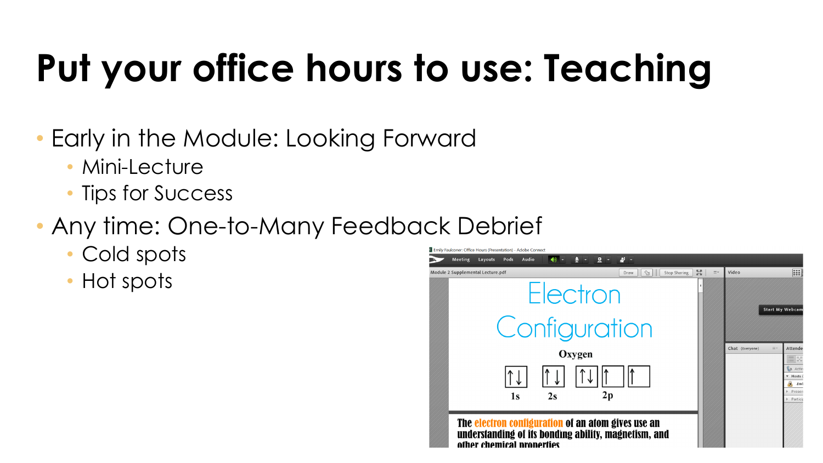## **Put your office hours to use: Teaching**

- Early in the Module: Looking Forward
	- Mini-Lecture
	- Tips for Success
- Any time: One-to-Many Feedback Debrief
	- Cold spots
	- Hot spots

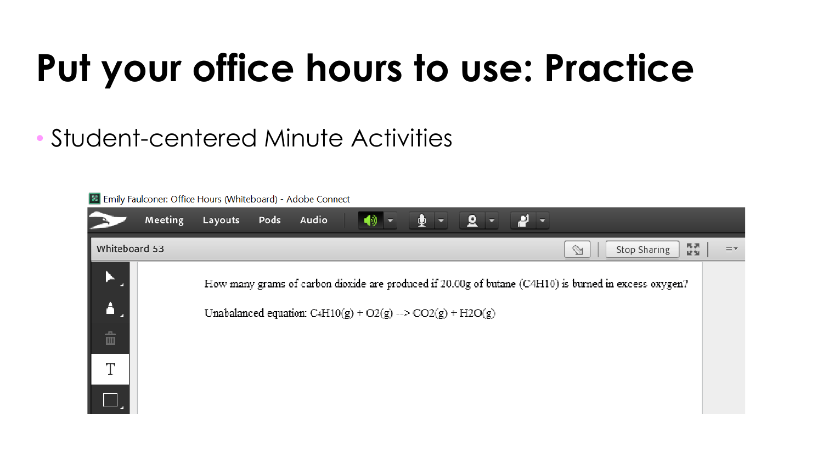### **Put your office hours to use: Practice**

### • Student-centered Minute Activities

Emily Faulconer: Office Hours (Whiteboard) - Adobe Connect

|                                                      | Meeting | $\bullet$<br>Audio<br>Layouts<br>Pods                                                                                                                                            |  |
|------------------------------------------------------|---------|----------------------------------------------------------------------------------------------------------------------------------------------------------------------------------|--|
| 통제<br>Whiteboard 53<br>Stop Sharing<br>$\mathscr{A}$ |         |                                                                                                                                                                                  |  |
|                                                      |         | How many grams of carbon dioxide are produced if 20.00g of butane (C4H10) is burned in excess oxygen?<br>Unabalanced equation: C <sub>4</sub> H10(g) + O2(g) --> CO2(g) + H2O(g) |  |
| 亩                                                    |         |                                                                                                                                                                                  |  |
| ידי                                                  |         |                                                                                                                                                                                  |  |
|                                                      |         |                                                                                                                                                                                  |  |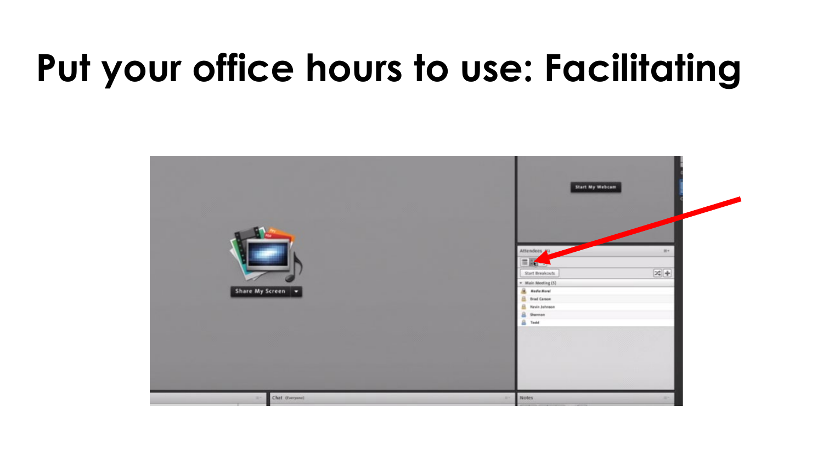### **Put your office hours to use: Facilitating**